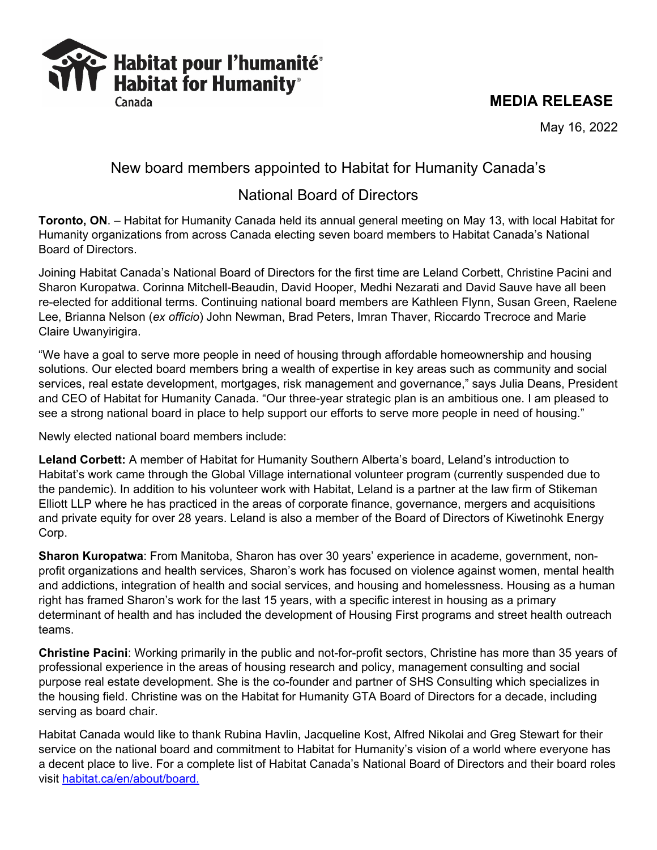## **MEDIA RELEASE**

May 16, 2022

# Habitat pour l'humanité<sup>®</sup><br>NY Habitat for Humanity®

## New board members appointed to Habitat for Humanity Canada's

# National Board of Directors

**Toronto, ON**. – Habitat for Humanity Canada held its annual general meeting on May 13, with local Habitat for Humanity organizations from across Canada electing seven board members to Habitat Canada's National Board of Directors.

Joining Habitat Canada's National Board of Directors for the first time are Leland Corbett, Christine Pacini and Sharon Kuropatwa. Corinna Mitchell-Beaudin, David Hooper, Medhi Nezarati and David Sauve have all been re-elected for additional terms. Continuing national board members are Kathleen Flynn, Susan Green, Raelene Lee, Brianna Nelson (*ex officio*) John Newman, Brad Peters, Imran Thaver, Riccardo Trecroce and Marie Claire Uwanyirigira.

"We have a goal to serve more people in need of housing through affordable homeownership and housing solutions. Our elected board members bring a wealth of expertise in key areas such as community and social services, real estate development, mortgages, risk management and governance," says Julia Deans, President and CEO of Habitat for Humanity Canada. "Our three-year strategic plan is an ambitious one. I am pleased to see a strong national board in place to help support our efforts to serve more people in need of housing."

Newly elected national board members include:

**Leland Corbett:** A member of Habitat for Humanity Southern Alberta's board, Leland's introduction to Habitat's work came through the Global Village international volunteer program (currently suspended due to the pandemic). In addition to his volunteer work with Habitat, Leland is a partner at the law firm of Stikeman Elliott LLP where he has practiced in the areas of corporate finance, governance, mergers and acquisitions and private equity for over 28 years. Leland is also a member of the Board of Directors of Kiwetinohk Energy Corp.

**Sharon Kuropatwa**: From Manitoba, Sharon has over 30 years' experience in academe, government, nonprofit organizations and health services, Sharon's work has focused on violence against women, mental health and addictions, integration of health and social services, and housing and homelessness. Housing as a human right has framed Sharon's work for the last 15 years, with a specific interest in housing as a primary determinant of health and has included the development of Housing First programs and street health outreach teams.

**Christine Pacini**: Working primarily in the public and not-for-profit sectors, Christine has more than 35 years of professional experience in the areas of housing research and policy, management consulting and social purpose real estate development. She is the co-founder and partner of SHS Consulting which specializes in the housing field. Christine was on the Habitat for Humanity GTA Board of Directors for a decade, including serving as board chair.

Habitat Canada would like to thank Rubina Havlin, Jacqueline Kost, Alfred Nikolai and Greg Stewart for their service on the national board and commitment to Habitat for Humanity's vision of a world where everyone has a decent place to live. For a complete list of Habitat Canada's National Board of Directors and their board roles visit [habitat.ca/en/about/board.](https://www.habitat.ca/en/about/board)